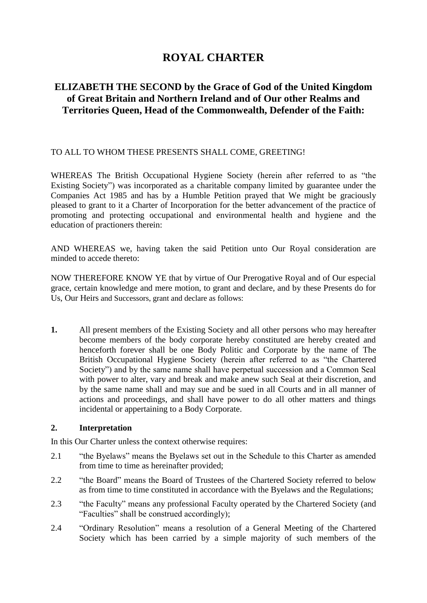# **ROYAL CHARTER**

# **ELIZABETH THE SECOND by the Grace of God of the United Kingdom of Great Britain and Northern Ireland and of Our other Realms and Territories Queen, Head of the Commonwealth, Defender of the Faith:**

## TO ALL TO WHOM THESE PRESENTS SHALL COME, GREETING!

WHEREAS The British Occupational Hygiene Society (herein after referred to as "the Existing Society") was incorporated as a charitable company limited by guarantee under the Companies Act 1985 and has by a Humble Petition prayed that We might be graciously pleased to grant to it a Charter of Incorporation for the better advancement of the practice of promoting and protecting occupational and environmental health and hygiene and the education of practioners therein:

AND WHEREAS we, having taken the said Petition unto Our Royal consideration are minded to accede thereto:

NOW THEREFORE KNOW YE that by virtue of Our Prerogative Royal and of Our especial grace, certain knowledge and mere motion, to grant and declare, and by these Presents do for Us, Our Heirs and Successors, grant and declare as follows:

**1.** All present members of the Existing Society and all other persons who may hereafter become members of the body corporate hereby constituted are hereby created and henceforth forever shall be one Body Politic and Corporate by the name of The British Occupational Hygiene Society (herein after referred to as "the Chartered Society") and by the same name shall have perpetual succession and a Common Seal with power to alter, vary and break and make anew such Seal at their discretion, and by the same name shall and may sue and be sued in all Courts and in all manner of actions and proceedings, and shall have power to do all other matters and things incidental or appertaining to a Body Corporate.

#### **2. Interpretation**

In this Our Charter unless the context otherwise requires:

- 2.1 "the Byelaws" means the Byelaws set out in the Schedule to this Charter as amended from time to time as hereinafter provided;
- 2.2 "the Board" means the Board of Trustees of the Chartered Society referred to below as from time to time constituted in accordance with the Byelaws and the Regulations;
- 2.3 "the Faculty" means any professional Faculty operated by the Chartered Society (and "Faculties" shall be construed accordingly);
- 2.4 "Ordinary Resolution" means a resolution of a General Meeting of the Chartered Society which has been carried by a simple majority of such members of the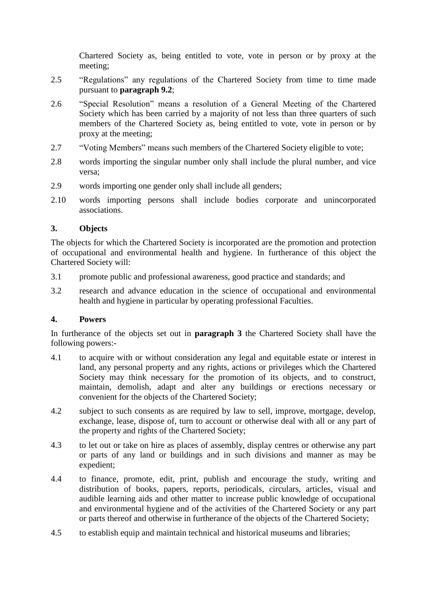Chartered Society as, being entitled to vote, vote in person or by proxy at the meeting;

- 2.5 "Regulations" any regulations of the Chartered Society from time to time made pursuant to **paragraph [9.2](#page-6-0)**;
- 2.6 "Special Resolution" means a resolution of a General Meeting of the Chartered Society which has been carried by a majority of not less than three quarters of such members of the Chartered Society as, being entitled to vote, vote in person or by proxy at the meeting;
- 2.7 "Voting Members" means such members of the Chartered Society eligible to vote;
- 2.8 words importing the singular number only shall include the plural number, and vice versa;
- 2.9 words importing one gender only shall include all genders;
- 2.10 words importing persons shall include bodies corporate and unincorporated associations.

## <span id="page-1-0"></span>**3. Objects**

The objects for which the Chartered Society is incorporated are the promotion and protection of occupational and environmental health and hygiene. In furtherance of this object the Chartered Society will:

- 3.1 promote public and professional awareness, good practice and standards; and
- 3.2 research and advance education in the science of occupational and environmental health and hygiene in particular by operating professional Faculties.

#### **4. Powers**

In furtherance of the objects set out in **paragraph [3](#page-1-0)** the Chartered Society shall have the following powers:-

- 4.1 to acquire with or without consideration any legal and equitable estate or interest in land, any personal property and any rights, actions or privileges which the Chartered Society may think necessary for the promotion of its objects, and to construct, maintain, demolish, adapt and alter any buildings or erections necessary or convenient for the objects of the Chartered Society;
- 4.2 subject to such consents as are required by law to sell, improve, mortgage, develop, exchange, lease, dispose of, turn to account or otherwise deal with all or any part of the property and rights of the Chartered Society;
- 4.3 to let out or take on hire as places of assembly, display centres or otherwise any part or parts of any land or buildings and in such divisions and manner as may be expedient;
- 4.4 to finance, promote, edit, print, publish and encourage the study, writing and distribution of books, papers, reports, periodicals, circulars, articles, visual and audible learning aids and other matter to increase public knowledge of occupational and environmental hygiene and of the activities of the Chartered Society or any part or parts thereof and otherwise in furtherance of the objects of the Chartered Society;
- 4.5 to establish equip and maintain technical and historical museums and libraries;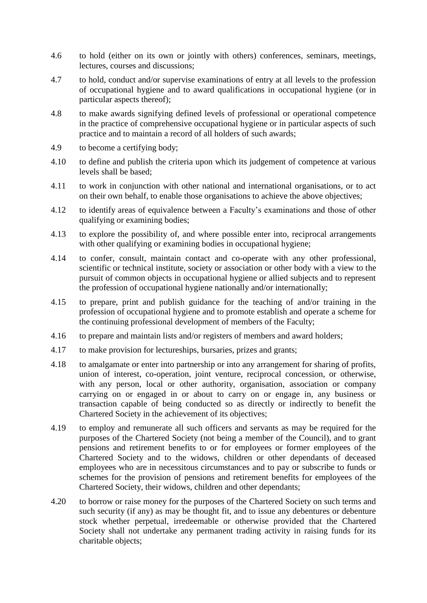- 4.6 to hold (either on its own or jointly with others) conferences, seminars, meetings, lectures, courses and discussions;
- 4.7 to hold, conduct and/or supervise examinations of entry at all levels to the profession of occupational hygiene and to award qualifications in occupational hygiene (or in particular aspects thereof);
- 4.8 to make awards signifying defined levels of professional or operational competence in the practice of comprehensive occupational hygiene or in particular aspects of such practice and to maintain a record of all holders of such awards;
- 4.9 to become a certifying body;
- 4.10 to define and publish the criteria upon which its judgement of competence at various levels shall be based;
- 4.11 to work in conjunction with other national and international organisations, or to act on their own behalf, to enable those organisations to achieve the above objectives;
- 4.12 to identify areas of equivalence between a Faculty's examinations and those of other qualifying or examining bodies;
- 4.13 to explore the possibility of, and where possible enter into, reciprocal arrangements with other qualifying or examining bodies in occupational hygiene;
- 4.14 to confer, consult, maintain contact and co-operate with any other professional, scientific or technical institute, society or association or other body with a view to the pursuit of common objects in occupational hygiene or allied subjects and to represent the profession of occupational hygiene nationally and/or internationally;
- 4.15 to prepare, print and publish guidance for the teaching of and/or training in the profession of occupational hygiene and to promote establish and operate a scheme for the continuing professional development of members of the Faculty;
- 4.16 to prepare and maintain lists and/or registers of members and award holders;
- 4.17 to make provision for lectureships, bursaries, prizes and grants;
- 4.18 to amalgamate or enter into partnership or into any arrangement for sharing of profits, union of interest, co-operation, joint venture, reciprocal concession, or otherwise, with any person, local or other authority, organisation, association or company carrying on or engaged in or about to carry on or engage in, any business or transaction capable of being conducted so as directly or indirectly to benefit the Chartered Society in the achievement of its objectives;
- 4.19 to employ and remunerate all such officers and servants as may be required for the purposes of the Chartered Society (not being a member of the Council), and to grant pensions and retirement benefits to or for employees or former employees of the Chartered Society and to the widows, children or other dependants of deceased employees who are in necessitous circumstances and to pay or subscribe to funds or schemes for the provision of pensions and retirement benefits for employees of the Chartered Society, their widows, children and other dependants;
- 4.20 to borrow or raise money for the purposes of the Chartered Society on such terms and such security (if any) as may be thought fit, and to issue any debentures or debenture stock whether perpetual, irredeemable or otherwise provided that the Chartered Society shall not undertake any permanent trading activity in raising funds for its charitable objects;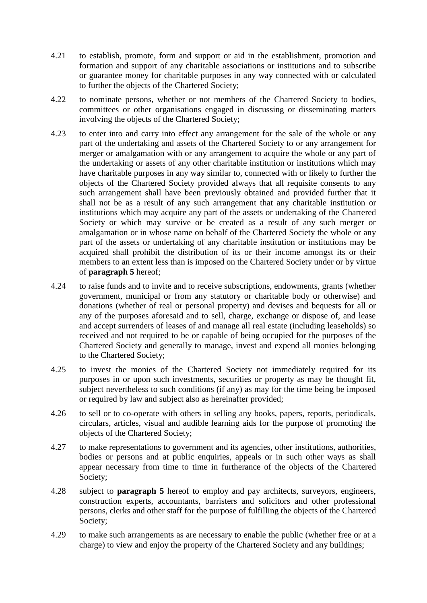- 4.21 to establish, promote, form and support or aid in the establishment, promotion and formation and support of any charitable associations or institutions and to subscribe or guarantee money for charitable purposes in any way connected with or calculated to further the objects of the Chartered Society;
- 4.22 to nominate persons, whether or not members of the Chartered Society to bodies, committees or other organisations engaged in discussing or disseminating matters involving the objects of the Chartered Society;
- 4.23 to enter into and carry into effect any arrangement for the sale of the whole or any part of the undertaking and assets of the Chartered Society to or any arrangement for merger or amalgamation with or any arrangement to acquire the whole or any part of the undertaking or assets of any other charitable institution or institutions which may have charitable purposes in any way similar to, connected with or likely to further the objects of the Chartered Society provided always that all requisite consents to any such arrangement shall have been previously obtained and provided further that it shall not be as a result of any such arrangement that any charitable institution or institutions which may acquire any part of the assets or undertaking of the Chartered Society or which may survive or be created as a result of any such merger or amalgamation or in whose name on behalf of the Chartered Society the whole or any part of the assets or undertaking of any charitable institution or institutions may be acquired shall prohibit the distribution of its or their income amongst its or their members to an extent less than is imposed on the Chartered Society under or by virtue of **paragraph [5](#page-4-0)** hereof;
- 4.24 to raise funds and to invite and to receive subscriptions, endowments, grants (whether government, municipal or from any statutory or charitable body or otherwise) and donations (whether of real or personal property) and devises and bequests for all or any of the purposes aforesaid and to sell, charge, exchange or dispose of, and lease and accept surrenders of leases of and manage all real estate (including leaseholds) so received and not required to be or capable of being occupied for the purposes of the Chartered Society and generally to manage, invest and expend all monies belonging to the Chartered Society;
- 4.25 to invest the monies of the Chartered Society not immediately required for its purposes in or upon such investments, securities or property as may be thought fit, subject nevertheless to such conditions (if any) as may for the time being be imposed or required by law and subject also as hereinafter provided;
- 4.26 to sell or to co-operate with others in selling any books, papers, reports, periodicals, circulars, articles, visual and audible learning aids for the purpose of promoting the objects of the Chartered Society;
- 4.27 to make representations to government and its agencies, other institutions, authorities, bodies or persons and at public enquiries, appeals or in such other ways as shall appear necessary from time to time in furtherance of the objects of the Chartered Society;
- 4.28 subject to **paragraph [5](#page-4-0)** hereof to employ and pay architects, surveyors, engineers, construction experts, accountants, barristers and solicitors and other professional persons, clerks and other staff for the purpose of fulfilling the objects of the Chartered Society;
- 4.29 to make such arrangements as are necessary to enable the public (whether free or at a charge) to view and enjoy the property of the Chartered Society and any buildings;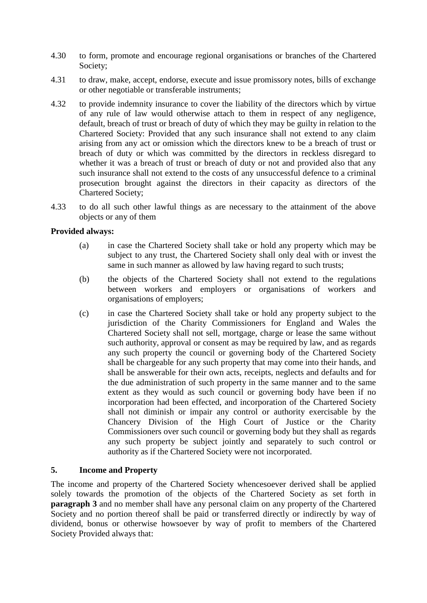- 4.30 to form, promote and encourage regional organisations or branches of the Chartered Society;
- 4.31 to draw, make, accept, endorse, execute and issue promissory notes, bills of exchange or other negotiable or transferable instruments;
- 4.32 to provide indemnity insurance to cover the liability of the directors which by virtue of any rule of law would otherwise attach to them in respect of any negligence, default, breach of trust or breach of duty of which they may be guilty in relation to the Chartered Society: Provided that any such insurance shall not extend to any claim arising from any act or omission which the directors knew to be a breach of trust or breach of duty or which was committed by the directors in reckless disregard to whether it was a breach of trust or breach of duty or not and provided also that any such insurance shall not extend to the costs of any unsuccessful defence to a criminal prosecution brought against the directors in their capacity as directors of the Chartered Society;
- 4.33 to do all such other lawful things as are necessary to the attainment of the above objects or any of them

#### **Provided always:**

- (a) in case the Chartered Society shall take or hold any property which may be subject to any trust, the Chartered Society shall only deal with or invest the same in such manner as allowed by law having regard to such trusts;
- (b) the objects of the Chartered Society shall not extend to the regulations between workers and employers or organisations of workers and organisations of employers;
- (c) in case the Chartered Society shall take or hold any property subject to the jurisdiction of the Charity Commissioners for England and Wales the Chartered Society shall not sell, mortgage, charge or lease the same without such authority, approval or consent as may be required by law, and as regards any such property the council or governing body of the Chartered Society shall be chargeable for any such property that may come into their hands, and shall be answerable for their own acts, receipts, neglects and defaults and for the due administration of such property in the same manner and to the same extent as they would as such council or governing body have been if no incorporation had been effected, and incorporation of the Chartered Society shall not diminish or impair any control or authority exercisable by the Chancery Division of the High Court of Justice or the Charity Commissioners over such council or governing body but they shall as regards any such property be subject jointly and separately to such control or authority as if the Chartered Society were not incorporated.

#### <span id="page-4-0"></span>**5. Income and Property**

The income and property of the Chartered Society whencesoever derived shall be applied solely towards the promotion of the objects of the Chartered Society as set forth in **paragraph [3](#page-1-0)** and no member shall have any personal claim on any property of the Chartered Society and no portion thereof shall be paid or transferred directly or indirectly by way of dividend, bonus or otherwise howsoever by way of profit to members of the Chartered Society Provided always that: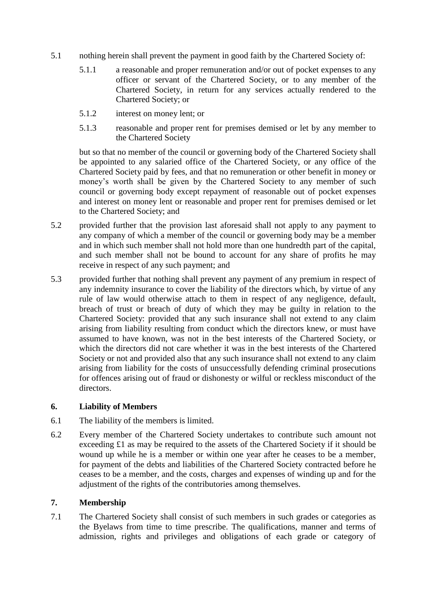- 5.1 nothing herein shall prevent the payment in good faith by the Chartered Society of:
	- 5.1.1 a reasonable and proper remuneration and/or out of pocket expenses to any officer or servant of the Chartered Society, or to any member of the Chartered Society, in return for any services actually rendered to the Chartered Society; or
	- 5.1.2 interest on money lent; or
	- 5.1.3 reasonable and proper rent for premises demised or let by any member to the Chartered Society

but so that no member of the council or governing body of the Chartered Society shall be appointed to any salaried office of the Chartered Society, or any office of the Chartered Society paid by fees, and that no remuneration or other benefit in money or money's worth shall be given by the Chartered Society to any member of such council or governing body except repayment of reasonable out of pocket expenses and interest on money lent or reasonable and proper rent for premises demised or let to the Chartered Society; and

- 5.2 provided further that the provision last aforesaid shall not apply to any payment to any company of which a member of the council or governing body may be a member and in which such member shall not hold more than one hundredth part of the capital, and such member shall not be bound to account for any share of profits he may receive in respect of any such payment; and
- 5.3 provided further that nothing shall prevent any payment of any premium in respect of any indemnity insurance to cover the liability of the directors which, by virtue of any rule of law would otherwise attach to them in respect of any negligence, default, breach of trust or breach of duty of which they may be guilty in relation to the Chartered Society: provided that any such insurance shall not extend to any claim arising from liability resulting from conduct which the directors knew, or must have assumed to have known, was not in the best interests of the Chartered Society, or which the directors did not care whether it was in the best interests of the Chartered Society or not and provided also that any such insurance shall not extend to any claim arising from liability for the costs of unsuccessfully defending criminal prosecutions for offences arising out of fraud or dishonesty or wilful or reckless misconduct of the directors.

# **6. Liability of Members**

- 6.1 The liability of the members is limited.
- 6.2 Every member of the Chartered Society undertakes to contribute such amount not exceeding £1 as may be required to the assets of the Chartered Society if it should be wound up while he is a member or within one year after he ceases to be a member, for payment of the debts and liabilities of the Chartered Society contracted before he ceases to be a member, and the costs, charges and expenses of winding up and for the adjustment of the rights of the contributories among themselves.

#### **7. Membership**

7.1 The Chartered Society shall consist of such members in such grades or categories as the Byelaws from time to time prescribe. The qualifications, manner and terms of admission, rights and privileges and obligations of each grade or category of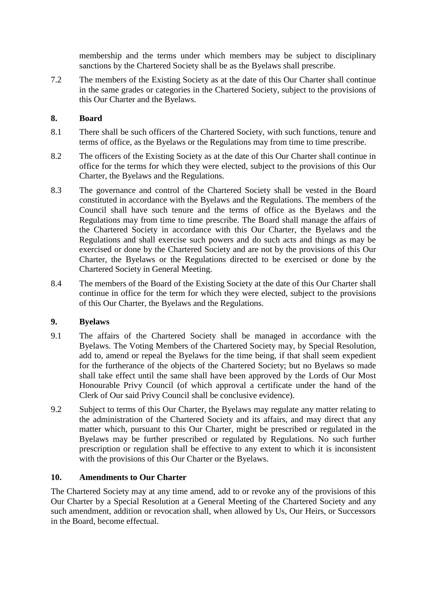membership and the terms under which members may be subject to disciplinary sanctions by the Chartered Society shall be as the Byelaws shall prescribe.

7.2 The members of the Existing Society as at the date of this Our Charter shall continue in the same grades or categories in the Chartered Society, subject to the provisions of this Our Charter and the Byelaws.

# **8. Board**

- 8.1 There shall be such officers of the Chartered Society, with such functions, tenure and terms of office, as the Byelaws or the Regulations may from time to time prescribe.
- 8.2 The officers of the Existing Society as at the date of this Our Charter shall continue in office for the terms for which they were elected, subject to the provisions of this Our Charter, the Byelaws and the Regulations.
- 8.3 The governance and control of the Chartered Society shall be vested in the Board constituted in accordance with the Byelaws and the Regulations. The members of the Council shall have such tenure and the terms of office as the Byelaws and the Regulations may from time to time prescribe. The Board shall manage the affairs of the Chartered Society in accordance with this Our Charter, the Byelaws and the Regulations and shall exercise such powers and do such acts and things as may be exercised or done by the Chartered Society and are not by the provisions of this Our Charter, the Byelaws or the Regulations directed to be exercised or done by the Chartered Society in General Meeting.
- 8.4 The members of the Board of the Existing Society at the date of this Our Charter shall continue in office for the term for which they were elected, subject to the provisions of this Our Charter, the Byelaws and the Regulations.

# **9. Byelaws**

- 9.1 The affairs of the Chartered Society shall be managed in accordance with the Byelaws. The Voting Members of the Chartered Society may, by Special Resolution, add to, amend or repeal the Byelaws for the time being, if that shall seem expedient for the furtherance of the objects of the Chartered Society; but no Byelaws so made shall take effect until the same shall have been approved by the Lords of Our Most Honourable Privy Council (of which approval a certificate under the hand of the Clerk of Our said Privy Council shall be conclusive evidence).
- <span id="page-6-0"></span>9.2 Subject to terms of this Our Charter, the Byelaws may regulate any matter relating to the administration of the Chartered Society and its affairs, and may direct that any matter which, pursuant to this Our Charter, might be prescribed or regulated in the Byelaws may be further prescribed or regulated by Regulations. No such further prescription or regulation shall be effective to any extent to which it is inconsistent with the provisions of this Our Charter or the Byelaws.

# **10. Amendments to Our Charter**

The Chartered Society may at any time amend, add to or revoke any of the provisions of this Our Charter by a Special Resolution at a General Meeting of the Chartered Society and any such amendment, addition or revocation shall, when allowed by Us, Our Heirs, or Successors in the Board, become effectual.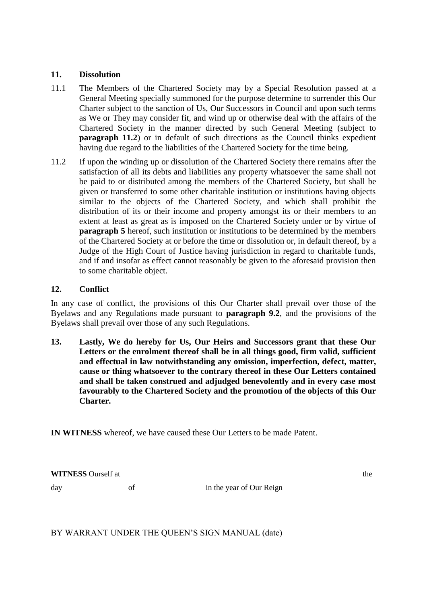## **11. Dissolution**

- 11.1 The Members of the Chartered Society may by a Special Resolution passed at a General Meeting specially summoned for the purpose determine to surrender this Our Charter subject to the sanction of Us, Our Successors in Council and upon such terms as We or They may consider fit, and wind up or otherwise deal with the affairs of the Chartered Society in the manner directed by such General Meeting (subject to **paragraph [11.2](#page-7-0)**) or in default of such directions as the Council thinks expedient having due regard to the liabilities of the Chartered Society for the time being.
- <span id="page-7-0"></span>11.2 If upon the winding up or dissolution of the Chartered Society there remains after the satisfaction of all its debts and liabilities any property whatsoever the same shall not be paid to or distributed among the members of the Chartered Society, but shall be given or transferred to some other charitable institution or institutions having objects similar to the objects of the Chartered Society, and which shall prohibit the distribution of its or their income and property amongst its or their members to an extent at least as great as is imposed on the Chartered Society under or by virtue of **paragraph** [5](#page-4-0) hereof, such institution or institutions to be determined by the members of the Chartered Society at or before the time or dissolution or, in default thereof, by a Judge of the High Court of Justice having jurisdiction in regard to charitable funds, and if and insofar as effect cannot reasonably be given to the aforesaid provision then to some charitable object.

## **12. Conflict**

In any case of conflict, the provisions of this Our Charter shall prevail over those of the Byelaws and any Regulations made pursuant to **paragraph [9.2](#page-6-0)**, and the provisions of the Byelaws shall prevail over those of any such Regulations.

**13. Lastly, We do hereby for Us, Our Heirs and Successors grant that these Our Letters or the enrolment thereof shall be in all things good, firm valid, sufficient and effectual in law notwithstanding any omission, imperfection, defect, matter, cause or thing whatsoever to the contrary thereof in these Our Letters contained and shall be taken construed and adjudged benevolently and in every case most favourably to the Chartered Society and the promotion of the objects of this Our Charter.**

**IN WITNESS** whereof, we have caused these Our Letters to be made Patent.

**WITNESS** Ourself at the the theory of the theory of the theory of the theory of the theory of the theory of the theory of the theory of the theory of the theory of the theory of the theory of the theory of the theory of t

day of of in the year of Our Reign

BY WARRANT UNDER THE QUEEN'S SIGN MANUAL (date)